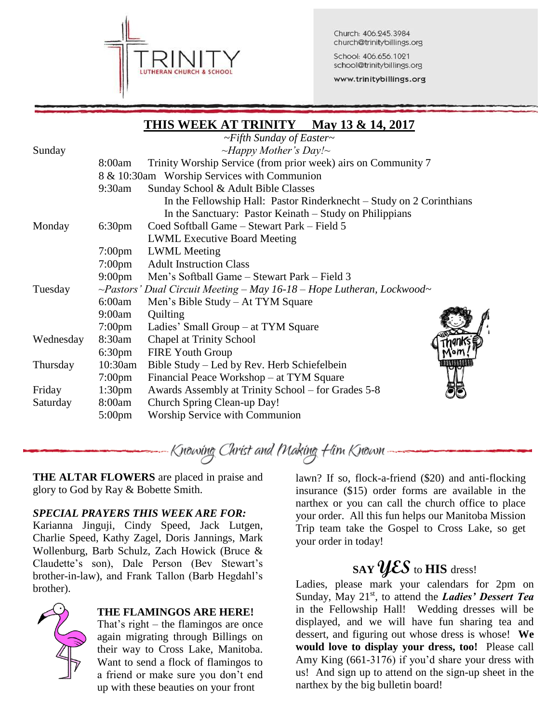

Church: 406.245.3984 church@trinitybillings.org

School: 406.656.1021 school@trinitybillings.org

www.trinitybillings.org

# **THIS WEEK AT TRINITY May 13 & 14, 2017** *~Fifth Sunday of Easter~* Sunday *~Happy Mother's Day!~* 8:00am Trinity Worship Service (from prior week) airs on Community 7 8 & 10:30am Worship Services with Communion 9:30am Sunday School & Adult Bible Classes In the Fellowship Hall: Pastor Rinderknecht – Study on 2 Corinthians In the Sanctuary: Pastor Keinath – Study on Philippians Monday 6:30pm Coed Softball Game – Stewart Park – Field 5 LWML Executive Board Meeting 7:00pm LWML Meeting 7:00pm Adult Instruction Class 9:00pm Men's Softball Game – Stewart Park – Field 3 Tuesday *~Pastors' Dual Circuit Meeting – May 16-18 – Hope Lutheran, Lockwood~* 6:00am Men's Bible Study – At TYM Square 9:00am Quilting 7:00pm Ladies' Small Group – at TYM Square Wednesday 8:30am Chapel at Trinity School 6:30pm FIRE Youth Group Thursday 10:30am Bible Study – Led by Rev. Herb Schiefelbein 7:00pm Financial Peace Workshop – at TYM Square Friday 1:30pm Awards Assembly at Trinity School – for Grades 5-8 Saturday 8:00am Church Spring Clean-up Day! 5:00pm Worship Service with Communion

# Knowing Christ and Making Him Known –

**THE ALTAR FLOWERS** are placed in praise and glory to God by Ray & Bobette Smith.

# *SPECIAL PRAYERS THIS WEEK ARE FOR:*

Karianna Jinguji, Cindy Speed, Jack Lutgen, Charlie Speed, Kathy Zagel, Doris Jannings, Mark Wollenburg, Barb Schulz, Zach Howick (Bruce & Claudette's son), Dale Person (Bev Stewart's brother-in-law), and Frank Tallon (Barb Hegdahl's brother).



#### **THE FLAMINGOS ARE HERE!**

That's right – the flamingos are once again migrating through Billings on their way to Cross Lake, Manitoba. Want to send a flock of flamingos to a friend or make sure you don't end up with these beauties on your front

lawn? If so, flock-a-friend (\$20) and anti-flocking insurance (\$15) order forms are available in the narthex or you can call the church office to place your order. All this fun helps our Manitoba Mission Trip team take the Gospel to Cross Lake, so get your order in today!

# **SAYYES** to **HIS** dress!

Ladies, please mark your calendars for 2pm on Sunday, May 21<sup>st</sup>, to attend the *Ladies' Dessert Tea* in the Fellowship Hall! Wedding dresses will be displayed, and we will have fun sharing tea and dessert, and figuring out whose dress is whose! **We would love to display your dress, too!** Please call Amy King (661-3176) if you'd share your dress with us! And sign up to attend on the sign-up sheet in the narthex by the big bulletin board!